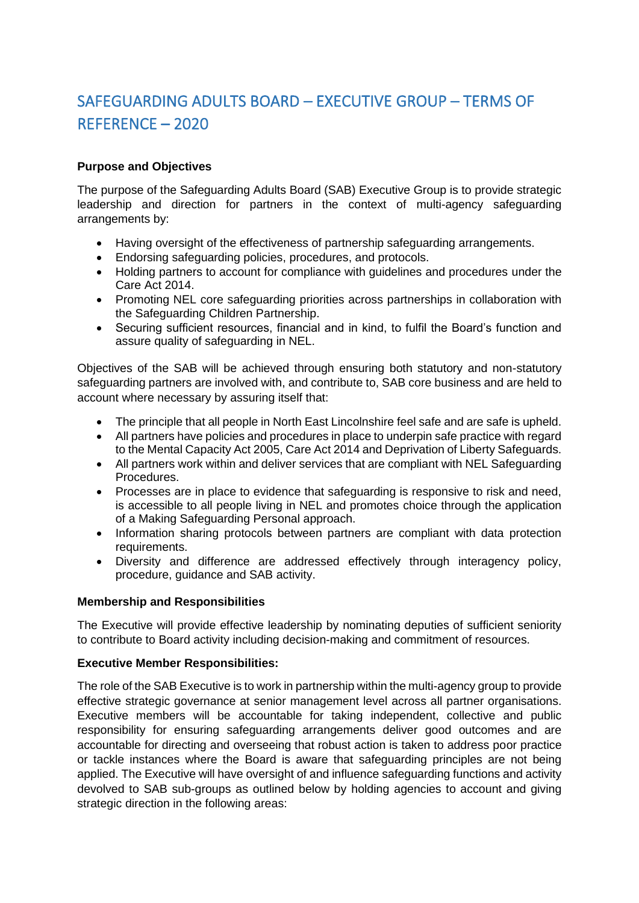# SAFEGUARDING ADULTS BOARD – EXECUTIVE GROUP – TERMS OF REFERENCE – 2020

# **Purpose and Objectives**

The purpose of the Safeguarding Adults Board (SAB) Executive Group is to provide strategic leadership and direction for partners in the context of multi-agency safeguarding arrangements by:

- Having oversight of the effectiveness of partnership safeguarding arrangements.
- Endorsing safeguarding policies, procedures, and protocols.
- Holding partners to account for compliance with guidelines and procedures under the Care Act 2014.
- Promoting NEL core safeguarding priorities across partnerships in collaboration with the Safeguarding Children Partnership.
- Securing sufficient resources, financial and in kind, to fulfil the Board's function and assure quality of safeguarding in NEL.

Objectives of the SAB will be achieved through ensuring both statutory and non-statutory safeguarding partners are involved with, and contribute to, SAB core business and are held to account where necessary by assuring itself that:

- The principle that all people in North East Lincolnshire feel safe and are safe is upheld.
- All partners have policies and procedures in place to underpin safe practice with regard to the Mental Capacity Act 2005, Care Act 2014 and Deprivation of Liberty Safeguards.
- All partners work within and deliver services that are compliant with NEL Safeguarding Procedures.
- Processes are in place to evidence that safeguarding is responsive to risk and need, is accessible to all people living in NEL and promotes choice through the application of a Making Safeguarding Personal approach.
- Information sharing protocols between partners are compliant with data protection requirements.
- Diversity and difference are addressed effectively through interagency policy, procedure, guidance and SAB activity.

#### **Membership and Responsibilities**

The Executive will provide effective leadership by nominating deputies of sufficient seniority to contribute to Board activity including decision-making and commitment of resources.

# **Executive Member Responsibilities:**

The role of the SAB Executive is to work in partnership within the multi-agency group to provide effective strategic governance at senior management level across all partner organisations. Executive members will be accountable for taking independent, collective and public responsibility for ensuring safeguarding arrangements deliver good outcomes and are accountable for directing and overseeing that robust action is taken to address poor practice or tackle instances where the Board is aware that safeguarding principles are not being applied. The Executive will have oversight of and influence safeguarding functions and activity devolved to SAB sub-groups as outlined below by holding agencies to account and giving strategic direction in the following areas: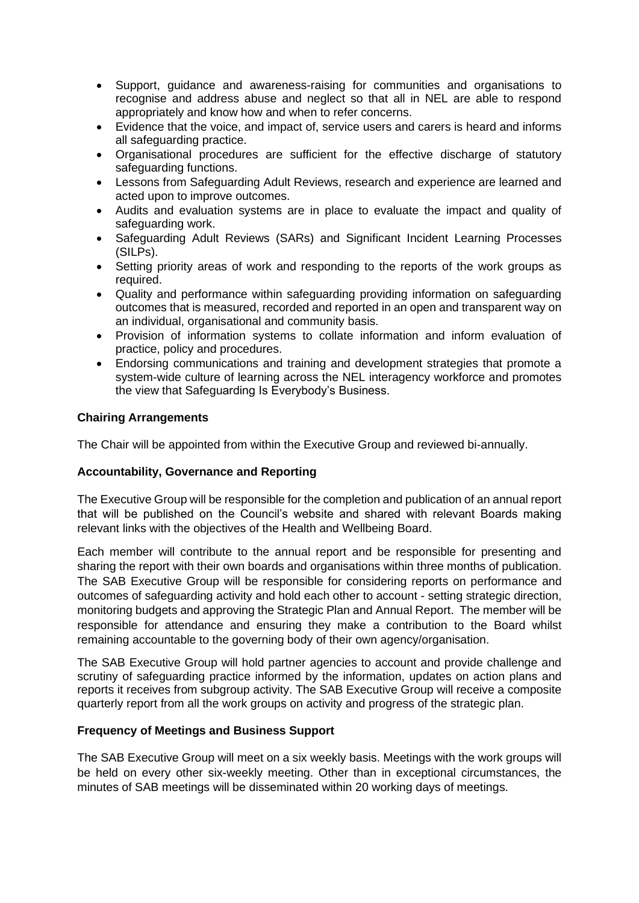- Support, guidance and awareness-raising for communities and organisations to recognise and address abuse and neglect so that all in NEL are able to respond appropriately and know how and when to refer concerns.
- Evidence that the voice, and impact of, service users and carers is heard and informs all safeguarding practice.
- Organisational procedures are sufficient for the effective discharge of statutory safeguarding functions.
- Lessons from Safeguarding Adult Reviews, research and experience are learned and acted upon to improve outcomes.
- Audits and evaluation systems are in place to evaluate the impact and quality of safeguarding work.
- Safeguarding Adult Reviews (SARs) and Significant Incident Learning Processes (SILPs).
- Setting priority areas of work and responding to the reports of the work groups as required.
- Quality and performance within safeguarding providing information on safeguarding outcomes that is measured, recorded and reported in an open and transparent way on an individual, organisational and community basis.
- Provision of information systems to collate information and inform evaluation of practice, policy and procedures.
- Endorsing communications and training and development strategies that promote a system-wide culture of learning across the NEL interagency workforce and promotes the view that Safeguarding Is Everybody's Business.

# **Chairing Arrangements**

The Chair will be appointed from within the Executive Group and reviewed bi-annually.

#### **Accountability, Governance and Reporting**

The Executive Group will be responsible for the completion and publication of an annual report that will be published on the Council's website and shared with relevant Boards making relevant links with the objectives of the Health and Wellbeing Board.

Each member will contribute to the annual report and be responsible for presenting and sharing the report with their own boards and organisations within three months of publication. The SAB Executive Group will be responsible for considering reports on performance and outcomes of safeguarding activity and hold each other to account - setting strategic direction, monitoring budgets and approving the Strategic Plan and Annual Report. The member will be responsible for attendance and ensuring they make a contribution to the Board whilst remaining accountable to the governing body of their own agency/organisation.

The SAB Executive Group will hold partner agencies to account and provide challenge and scrutiny of safeguarding practice informed by the information, updates on action plans and reports it receives from subgroup activity. The SAB Executive Group will receive a composite quarterly report from all the work groups on activity and progress of the strategic plan.

#### **Frequency of Meetings and Business Support**

The SAB Executive Group will meet on a six weekly basis. Meetings with the work groups will be held on every other six-weekly meeting. Other than in exceptional circumstances, the minutes of SAB meetings will be disseminated within 20 working days of meetings.